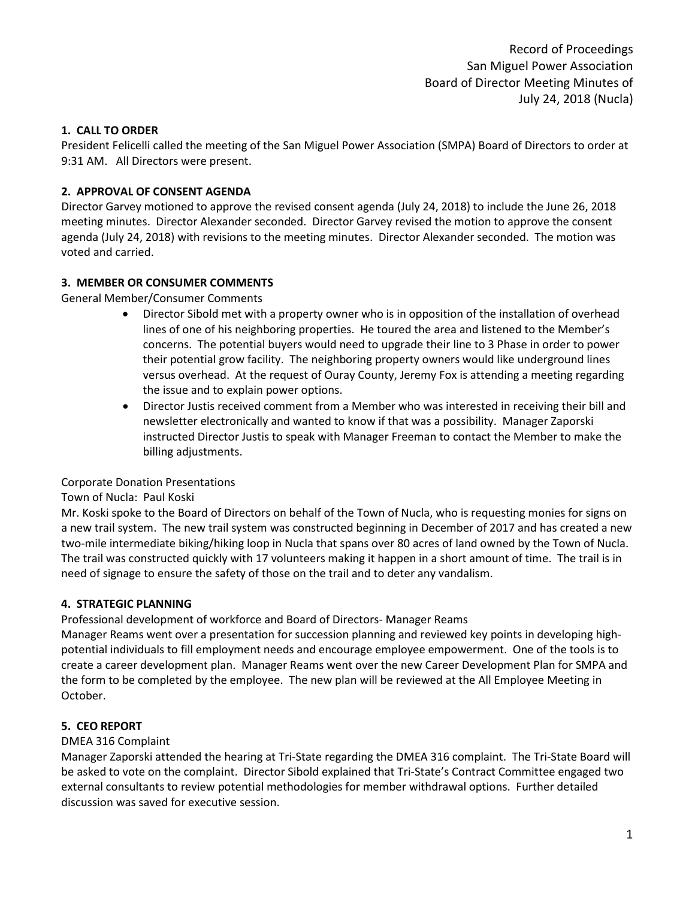Record of Proceedings San Miguel Power Association Board of Director Meeting Minutes of July 24, 2018 (Nucla)

# **1. CALL TO ORDER**

President Felicelli called the meeting of the San Miguel Power Association (SMPA) Board of Directors to order at 9:31 AM. All Directors were present.

# **2. APPROVAL OF CONSENT AGENDA**

Director Garvey motioned to approve the revised consent agenda (July 24, 2018) to include the June 26, 2018 meeting minutes. Director Alexander seconded. Director Garvey revised the motion to approve the consent agenda (July 24, 2018) with revisions to the meeting minutes. Director Alexander seconded. The motion was voted and carried.

# **3. MEMBER OR CONSUMER COMMENTS**

General Member/Consumer Comments

- Director Sibold met with a property owner who is in opposition of the installation of overhead lines of one of his neighboring properties. He toured the area and listened to the Member's concerns. The potential buyers would need to upgrade their line to 3 Phase in order to power their potential grow facility. The neighboring property owners would like underground lines versus overhead. At the request of Ouray County, Jeremy Fox is attending a meeting regarding the issue and to explain power options.
- Director Justis received comment from a Member who was interested in receiving their bill and newsletter electronically and wanted to know if that was a possibility. Manager Zaporski instructed Director Justis to speak with Manager Freeman to contact the Member to make the billing adjustments.

# Corporate Donation Presentations

# Town of Nucla: Paul Koski

Mr. Koski spoke to the Board of Directors on behalf of the Town of Nucla, who is requesting monies for signs on a new trail system. The new trail system was constructed beginning in December of 2017 and has created a new two-mile intermediate biking/hiking loop in Nucla that spans over 80 acres of land owned by the Town of Nucla. The trail was constructed quickly with 17 volunteers making it happen in a short amount of time. The trail is in need of signage to ensure the safety of those on the trail and to deter any vandalism.

# **4. STRATEGIC PLANNING**

Professional development of workforce and Board of Directors- Manager Reams

Manager Reams went over a presentation for succession planning and reviewed key points in developing highpotential individuals to fill employment needs and encourage employee empowerment. One of the tools is to create a career development plan. Manager Reams went over the new Career Development Plan for SMPA and the form to be completed by the employee. The new plan will be reviewed at the All Employee Meeting in October.

# **5. CEO REPORT**

# DMEA 316 Complaint

Manager Zaporski attended the hearing at Tri-State regarding the DMEA 316 complaint. The Tri-State Board will be asked to vote on the complaint. Director Sibold explained that Tri-State's Contract Committee engaged two external consultants to review potential methodologies for member withdrawal options. Further detailed discussion was saved for executive session.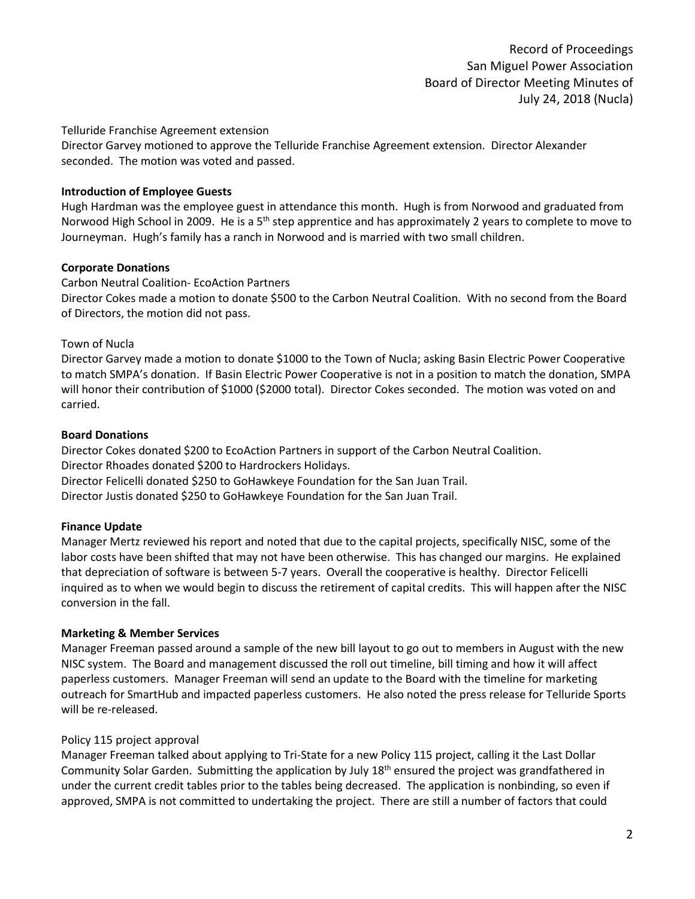Record of Proceedings San Miguel Power Association Board of Director Meeting Minutes of July 24, 2018 (Nucla)

#### Telluride Franchise Agreement extension

Director Garvey motioned to approve the Telluride Franchise Agreement extension. Director Alexander seconded. The motion was voted and passed.

#### **Introduction of Employee Guests**

Hugh Hardman was the employee guest in attendance this month. Hugh is from Norwood and graduated from Norwood High School in 2009. He is a 5<sup>th</sup> step apprentice and has approximately 2 years to complete to move to Journeyman. Hugh's family has a ranch in Norwood and is married with two small children.

#### **Corporate Donations**

Carbon Neutral Coalition- EcoAction Partners

Director Cokes made a motion to donate \$500 to the Carbon Neutral Coalition. With no second from the Board of Directors, the motion did not pass.

#### Town of Nucla

Director Garvey made a motion to donate \$1000 to the Town of Nucla; asking Basin Electric Power Cooperative to match SMPA's donation. If Basin Electric Power Cooperative is not in a position to match the donation, SMPA will honor their contribution of \$1000 (\$2000 total). Director Cokes seconded. The motion was voted on and carried.

#### **Board Donations**

Director Cokes donated \$200 to EcoAction Partners in support of the Carbon Neutral Coalition. Director Rhoades donated \$200 to Hardrockers Holidays. Director Felicelli donated \$250 to GoHawkeye Foundation for the San Juan Trail. Director Justis donated \$250 to GoHawkeye Foundation for the San Juan Trail.

# **Finance Update**

Manager Mertz reviewed his report and noted that due to the capital projects, specifically NISC, some of the labor costs have been shifted that may not have been otherwise. This has changed our margins. He explained that depreciation of software is between 5-7 years. Overall the cooperative is healthy. Director Felicelli inquired as to when we would begin to discuss the retirement of capital credits. This will happen after the NISC conversion in the fall.

# **Marketing & Member Services**

Manager Freeman passed around a sample of the new bill layout to go out to members in August with the new NISC system. The Board and management discussed the roll out timeline, bill timing and how it will affect paperless customers. Manager Freeman will send an update to the Board with the timeline for marketing outreach for SmartHub and impacted paperless customers. He also noted the press release for Telluride Sports will be re-released.

# Policy 115 project approval

Manager Freeman talked about applying to Tri-State for a new Policy 115 project, calling it the Last Dollar Community Solar Garden. Submitting the application by July 18<sup>th</sup> ensured the project was grandfathered in under the current credit tables prior to the tables being decreased. The application is nonbinding, so even if approved, SMPA is not committed to undertaking the project. There are still a number of factors that could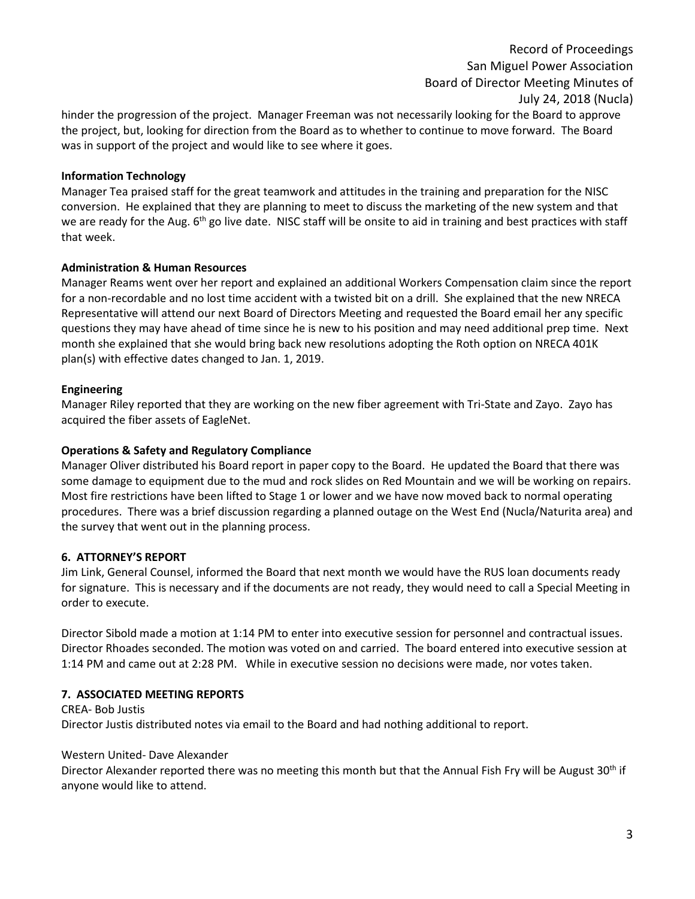Record of Proceedings San Miguel Power Association Board of Director Meeting Minutes of July 24, 2018 (Nucla)

hinder the progression of the project. Manager Freeman was not necessarily looking for the Board to approve the project, but, looking for direction from the Board as to whether to continue to move forward. The Board was in support of the project and would like to see where it goes.

#### **Information Technology**

Manager Tea praised staff for the great teamwork and attitudes in the training and preparation for the NISC conversion. He explained that they are planning to meet to discuss the marketing of the new system and that we are ready for the Aug.  $6<sup>th</sup>$  go live date. NISC staff will be onsite to aid in training and best practices with staff that week.

#### **Administration & Human Resources**

Manager Reams went over her report and explained an additional Workers Compensation claim since the report for a non-recordable and no lost time accident with a twisted bit on a drill. She explained that the new NRECA Representative will attend our next Board of Directors Meeting and requested the Board email her any specific questions they may have ahead of time since he is new to his position and may need additional prep time. Next month she explained that she would bring back new resolutions adopting the Roth option on NRECA 401K plan(s) with effective dates changed to Jan. 1, 2019.

#### **Engineering**

Manager Riley reported that they are working on the new fiber agreement with Tri-State and Zayo. Zayo has acquired the fiber assets of EagleNet.

#### **Operations & Safety and Regulatory Compliance**

Manager Oliver distributed his Board report in paper copy to the Board. He updated the Board that there was some damage to equipment due to the mud and rock slides on Red Mountain and we will be working on repairs. Most fire restrictions have been lifted to Stage 1 or lower and we have now moved back to normal operating procedures. There was a brief discussion regarding a planned outage on the West End (Nucla/Naturita area) and the survey that went out in the planning process.

#### **6. ATTORNEY'S REPORT**

Jim Link, General Counsel, informed the Board that next month we would have the RUS loan documents ready for signature. This is necessary and if the documents are not ready, they would need to call a Special Meeting in order to execute.

Director Sibold made a motion at 1:14 PM to enter into executive session for personnel and contractual issues. Director Rhoades seconded. The motion was voted on and carried. The board entered into executive session at 1:14 PM and came out at 2:28 PM. While in executive session no decisions were made, nor votes taken.

#### **7. ASSOCIATED MEETING REPORTS**

CREA- Bob Justis Director Justis distributed notes via email to the Board and had nothing additional to report.

#### Western United- Dave Alexander

Director Alexander reported there was no meeting this month but that the Annual Fish Fry will be August  $30<sup>th</sup>$  if anyone would like to attend.